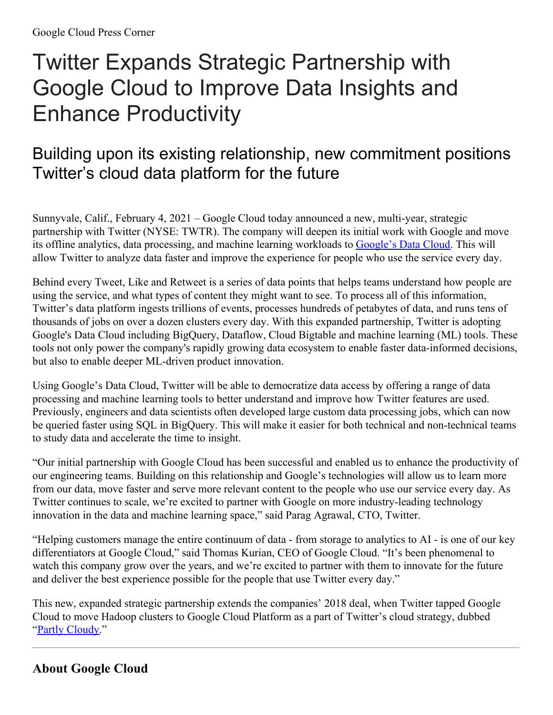## Twitter Expands Strategic Partnership with Google Cloud to Improve Data Insights and Enhance Productivity

## Building upon its existing relationship, new commitment positions Twitter's cloud data platform for the future

Sunnyvale, Calif., February 4, 2021 – Google Cloud today announced a new, multi-year, strategic partnership with Twitter (NYSE: TWTR). The company will deepen its initial work with Google and move its offline analytics, data processing, and machine learning workloads to [Google's](https://cloud.google.com/blog/products/data-analytics/google-cloud-leads-in-cloud-data-analytics-and-databases) Data Cloud. This will allow Twitter to analyze data faster and improve the experience for people who use the service every day.

Behind every Tweet, Like and Retweet is a series of data points that helps teams understand how people are using the service, and what types of content they might want to see. To process all of this information, Twitter's data platform ingests trillions of events, processes hundreds of petabytes of data, and runs tens of thousands of jobs on over a dozen clusters every day. With this expanded partnership, Twitter is adopting Google's Data Cloud including BigQuery, Dataflow, Cloud Bigtable and machine learning (ML) tools. These tools not only power the company's rapidly growing data ecosystem to enable faster data-informed decisions, but also to enable deeper ML-driven product innovation.

Using Google's Data Cloud, Twitter will be able to democratize data access by offering a range of data processing and machine learning tools to better understand and improve how Twitter features are used. Previously, engineers and data scientists often developed large custom data processing jobs, which can now be queried faster using SQL in BigQuery. This will make it easier for both technical and non-technical teams to study data and accelerate the time to insight.

"Our initial partnership with Google Cloud has been successful and enabled us to enhance the productivity of our engineering teams. Building on this relationship and Google's technologies will allow us to learn more from our data, move faster and serve more relevant content to the people who use our service every day. As Twitter continues to scale, we're excited to partner with Google on more industry-leading technology innovation in the data and machine learning space," said Parag Agrawal, CTO, Twitter.

"Helping customers manage the entire continuum of data - from storage to analytics to AI - is one of our key differentiators at Google Cloud," said Thomas Kurian, CEO of Google Cloud. "It's been phenomenal to watch this company grow over the years, and we're excited to partner with them to innovate for the future and deliver the best experience possible for the people that use Twitter every day."

This new, expanded strategic partnership extends the companies' 2018 deal, when Twitter tapped Google Cloud to move Hadoop clusters to Google Cloud Platform as a part of Twitter's cloud strategy, dubbed "Partly [Cloudy](https://blog.twitter.com/engineering/en_us/topics/infrastructure/2019/the-start-of-a-journey-into-the-cloud.html)."